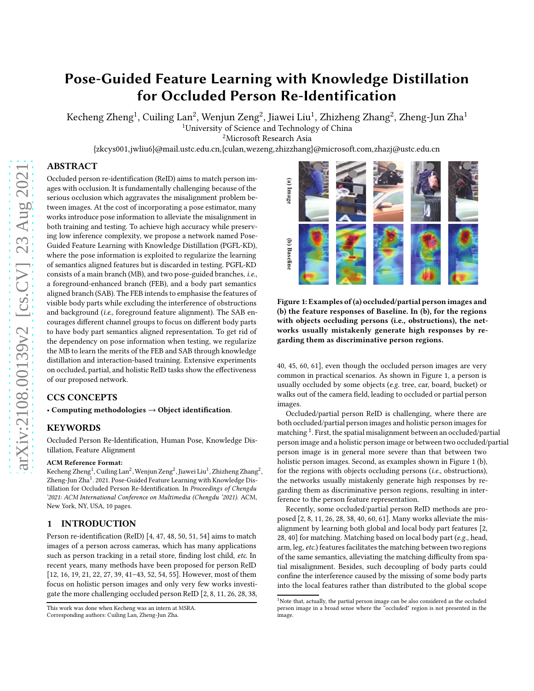# Pose-Guided Feature Learning with Knowledge Distillation for Occluded Person Re-Identification

Kecheng Zheng $^1$ , Cuiling Lan $^2$ , Wenjun Zeng $^2$ , Jiawei Liu $^1$ , Zhizheng Zhang $^2$ , Zheng-Jun Zha $^1$ 

<sup>1</sup>University of Science and Technology of China

<sup>2</sup>Microsoft Research Asia

{zkcys001,jwliu6}@mail.ustc.edu.cn,{culan,wezeng,zhizzhang}@microsoft.com,zhazj@ustc.edu.cn

# ABSTRACT

Occluded person re-identification (ReID) aims to match person images with occlusion. It is fundamentally challenging because of the serious occlusion which aggravates the misalignment problem between images. At the cost of incorporating a pose estimator, many works introduce pose information to alleviate the misalignment in both training and testing. To achieve high accuracy while preserving low inference complexity, we propose a network named Pose-Guided Feature Learning with Knowledge Distillation (PGFL-KD), where the pose information is exploited to regularize the learning of semantics aligned features but is discarded in testing. PGFL-KD consists of a main branch (MB), and two pose-guided branches, i.e., a foreground-enhanced branch (FEB), and a body part semantics aligned branch (SAB). The FEB intends to emphasise the features of visible body parts while excluding the interference of obstructions and background (i.e., foreground feature alignment). The SAB encourages different channel groups to focus on different body parts to have body part semantics aligned representation. To get rid of the dependency on pose information when testing, we regularize the MB to learn the merits of the FEB and SAB through knowledge distillation and interaction-based training. Extensive experiments on occluded, partial, and holistic ReID tasks show the effectiveness of our proposed network.

# CCS CONCEPTS

• Computing methodologies  $\rightarrow$  Object identification.

## KEYWORDS

Occluded Person Re-Identification, Human Pose, Knowledge Distillation, Feature Alignment

#### ACM Reference Format:

Kecheng Zheng<sup>1</sup>, Cuiling Lan<sup>2</sup>, Wenjun Zeng<sup>2</sup>, Jiawei Liu<sup>1</sup>, Zhizheng Zhang<sup>2</sup>, Zheng-Jun Zha<sup>1</sup>. 2021. Pose-Guided Feature Learning with Knowledge Distillation for Occluded Person Re-Identification. In Proceedings of Chengdu '2021: ACM International Conference on Multimedia (Chengdu '2021). ACM, New York, NY, USA, [10](#page-9-0) pages.

# 1 INTRODUCTION

Person re-identification (ReID) [\[4](#page-8-0), [47,](#page-8-1) [48](#page-8-2), [50,](#page-8-3) [51,](#page-8-4) [54](#page-8-5)] aims to match images of a person across cameras, which has many applications such as person tracking in a retail store, finding lost child, etc. In recent years, many methods have been proposed for person ReID [\[12](#page-8-6), [16,](#page-8-7) [19,](#page-8-8) [21](#page-8-9), [22,](#page-8-10) [27](#page-8-11), [39](#page-8-12), [41](#page-8-13)[–43,](#page-8-14) [52](#page-8-15), [54,](#page-8-5) [55](#page-8-16)]. However, most of them focus on holistic person images and only very few works investigate the more challenging occluded person ReID [\[2](#page-8-17), [8](#page-8-18), [11](#page-8-19), [26](#page-8-20), [28](#page-8-21), [38](#page-8-22),

<span id="page-0-0"></span>

Figure 1: Examples of (a) occluded/partial person images and (b) the feature responses of Baseline. In (b), for the regions with objects occluding persons (i.e., obstructions), the networks usually mistakenly generate high responses by regarding them as discriminative person regions.

[40](#page-8-23), [45](#page-8-24), [60](#page-9-1), [61](#page-9-2)], even though the occluded person images are very common in practical scenarios. As shown in Figure [1,](#page-0-0) a person is usually occluded by some objects (e.g. tree, car, board, bucket) or walks out of the camera field, leading to occluded or partial person images.

Occluded/partial person ReID is challenging, where there are both occluded/partial person images and holistic person images for matching <sup>[1](#page-0-1)</sup>. First, the spatial misalignment between an occluded/partial person image and a holistic person image or between two occluded/partial person image is in general more severe than that between two holistic person images. Second, as examples shown in Figure [1](#page-0-0) (b), for the regions with objects occluding persons (i.e., obstructions), the networks usually mistakenly generate high responses by regarding them as discriminative person regions, resulting in interference to the person feature representation.

Recently, some occluded/partial person ReID methods are proposed [\[2,](#page-8-17) [8,](#page-8-18) [11,](#page-8-19) [26](#page-8-20), [28,](#page-8-21) [38,](#page-8-22) [40](#page-8-23), [60](#page-9-1), [61\]](#page-9-2). Many works alleviate the misalignment by learning both global and local body part features [\[2](#page-8-17), [28](#page-8-21), [40\]](#page-8-23) for matching. Matching based on local body part (e.g., head, arm, leg, etc.) features facilitates the matching between two regions of the same semantics, alleviating the matching difficulty from spatial misalignment. Besides, such decoupling of body parts could confine the interference caused by the missing of some body parts into the local features rather than distributed to the global scope

This work was done when Kecheng was an intern at MSRA. Corresponding authors: Cuiling Lan, Zheng-Jun Zha.

<span id="page-0-1"></span><sup>&</sup>lt;sup>1</sup>Note that, actually, the partial person image can be also considered as the occluded person image in a broad sense where the "occluded" region is not presented in the image.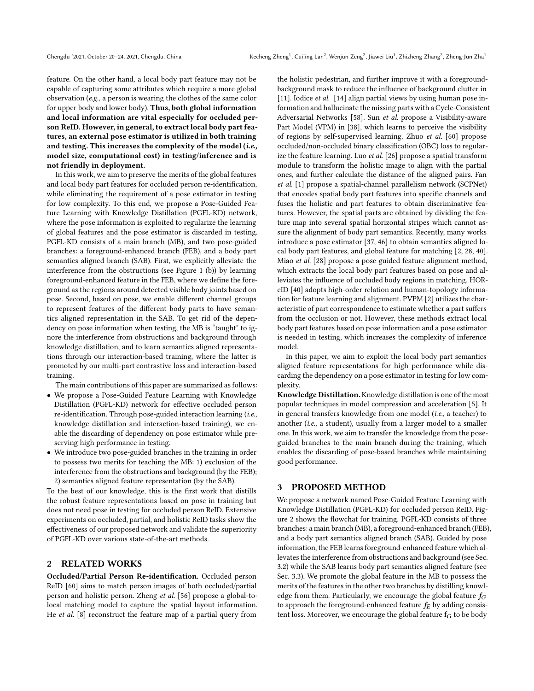feature. On the other hand, a local body part feature may not be capable of capturing some attributes which require a more global observation (e.g., a person is wearing the clothes of the same color for upper body and lower body). Thus, both global information and local information are vital especially for occluded person ReID. However, in general, to extract local body part features, an external pose estimator is utilized in both training and testing. This increases the complexity of the model (i.e., model size, computational cost) in testing/inference and is not friendly in deployment.

In this work, we aim to preserve the merits of the global features and local body part features for occluded person re-identification, while eliminating the requirement of a pose estimator in testing for low complexity. To this end, we propose a Pose-Guided Feature Learning with Knowledge Distillation (PGFL-KD) network, where the pose information is exploited to regularize the learning of global features and the pose estimator is discarded in testing. PGFL-KD consists of a main branch (MB), and two pose-guided branches: a foreground-enhanced branch (FEB), and a body part semantics aligned branch (SAB). First, we explicitly alleviate the interference from the obstructions (see Figure [1](#page-0-0) (b)) by learning foreground-enhanced feature in the FEB, where we define the foreground as the regions around detected visible body joints based on pose. Second, based on pose, we enable different channel groups to represent features of the different body parts to have semantics aligned representation in the SAB. To get rid of the dependency on pose information when testing, the MB is "taught" to ignore the interference from obstructions and background through knowledge distillation, and to learn semantics aligned representations through our interaction-based training, where the latter is promoted by our multi-part contrastive loss and interaction-based training.

The main contributions of this paper are summarized as follows:

- We propose a Pose-Guided Feature Learning with Knowledge Distillation (PGFL-KD) network for effective occluded person re-identification. Through pose-guided interaction learning (i.e., knowledge distillation and interaction-based training), we enable the discarding of dependency on pose estimator while preserving high performance in testing.
- We introduce two pose-guided branches in the training in order to possess two merits for teaching the MB: 1) exclusion of the interference from the obstructions and background (by the FEB); 2) semantics aligned feature representation (by the SAB).

To the best of our knowledge, this is the first work that distills the robust feature representations based on pose in training but does not need pose in testing for occluded person ReID. Extensive experiments on occluded, partial, and holistic ReID tasks show the effectiveness of our proposed network and validate the superiority of PGFL-KD over various state-of-the-art methods.

# 2 RELATED WORKS

Occluded/Partial Person Re-identification. Occluded person ReID [\[60\]](#page-9-1) aims to match person images of both occluded/partial person and holistic person. Zheng et al. [\[56](#page-8-25)] propose a global-tolocal matching model to capture the spatial layout information. He et al. [\[8\]](#page-8-18) reconstruct the feature map of a partial query from

the holistic pedestrian, and further improve it with a foregroundbackground mask to reduce the influence of background clutter in [\[11\]](#page-8-19). Iodice et al. [\[14](#page-8-26)] align partial views by using human pose information and hallucinate the missing parts with a Cycle-Consistent Adversarial Networks [\[58\]](#page-9-3). Sun et al. propose a Visibility-aware Part Model (VPM) in [\[38\]](#page-8-22), which learns to perceive the visibility of regions by self-supervised learning. Zhuo et al. [\[60](#page-9-1)] propose occluded/non-occluded binary classification (OBC) loss to regular-ize the feature learning. Luo et al. [\[26](#page-8-20)] propose a spatial transform module to transform the holistic image to align with the partial ones, and further calculate the distance of the aligned pairs. Fan et al. [\[1\]](#page-8-27) propose a spatial-channel parallelism network (SCPNet) that encodes spatial body part features into specific channels and fuses the holistic and part features to obtain discriminative features. However, the spatial parts are obtained by dividing the feature map into several spatial horizontal stripes which cannot assure the alignment of body part semantics. Recently, many works introduce a pose estimator [\[37](#page-8-28), [46\]](#page-8-29) to obtain semantics aligned local body part features, and global feature for matching [\[2,](#page-8-17) [28,](#page-8-21) [40\]](#page-8-23). Miao et al. [\[28\]](#page-8-21) propose a pose guided feature alignment method, which extracts the local body part features based on pose and alleviates the influence of occluded body regions in matching. HOReID [\[40\]](#page-8-23) adopts high-order relation and human-topology information for feature learning and alignment. PVPM [\[2\]](#page-8-17) utilizes the characteristic of part correspondence to estimate whether a part suffers from the occlusion or not. However, these methods extract local body part features based on pose information and a pose estimator is needed in testing, which increases the complexity of inference model.

In this paper, we aim to exploit the local body part semantics aligned feature representations for high performance while discarding the dependency on a pose estimator in testing for low complexity.

Knowledge Distillation.Knowledge distillation is one of the most popular techniques in model compression and acceleration [\[5](#page-8-30)]. It in general transfers knowledge from one model (i.e., a teacher) to another (i.e., a student), usually from a larger model to a smaller one. In this work, we aim to transfer the knowledge from the poseguided branches to the main branch during the training, which enables the discarding of pose-based branches while maintaining good performance.

### 3 PROPOSED METHOD

We propose a network named Pose-Guided Feature Learning with Knowledge Distillation (PGFL-KD) for occluded person ReID. Figure [2](#page-2-0) shows the flowchat for training. PGFL-KD consists of three branches: a main branch (MB), a foreground-enhanced branch (FEB), and a body part semantics aligned branch (SAB). Guided by pose information, the FEB learns foreground-enhanced feature which allevates the interference from obstructions and background (see Sec. 3.2) while the SAB learns body part semantics aligned feature (see Sec. 3.3). We promote the global feature in the MB to possess the merits of the features in the other two branches by distilling knowledge from them. Particularly, we encourage the global feature  $f_G$ to approach the foreground-enhanced feature  $f_E$  by adding consistent loss. Moreover, we encourage the global feature  $f_G$  to be body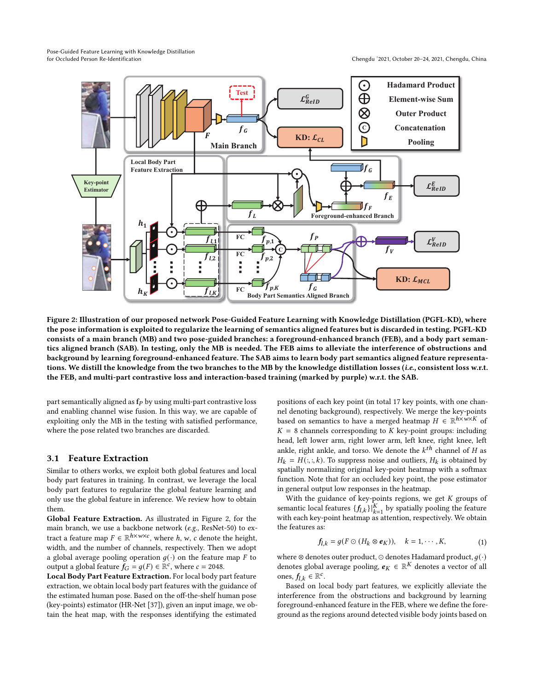<span id="page-2-0"></span>

Figure 2: Illustration of our proposed network Pose-Guided Feature Learning with Knowledge Distillation (PGFL-KD), where the pose information is exploited to regularize the learning of semantics aligned features but is discarded in testing. PGFL-KD consists of a main branch (MB) and two pose-guided branches: a foreground-enhanced branch (FEB), and a body part semantics aligned branch (SAB). In testing, only the MB is needed. The FEB aims to alleviate the interference of obstructions and background by learning foreground-enhanced feature. The SAB aims to learn body part semantics aligned feature representations. We distill the knowledge from the two branches to the MB by the knowledge distillation losses (i.e., consistent loss w.r.t. the FEB, and multi-part contrastive loss and interaction-based training (marked by purple) w.r.t. the SAB.

part semantically aligned as  $f_P$  by using multi-part contrastive loss and enabling channel wise fusion. In this way, we are capable of exploiting only the MB in the testing with satisfied performance, where the pose related two branches are discarded.

#### 3.1 Feature Extraction

Similar to others works, we exploit both global features and local body part features in training. In contrast, we leverage the local body part features to regularize the global feature learning and only use the global feature in inference. We review how to obtain them.

Global Feature Extraction. As illustrated in Figure [2,](#page-2-0) for the main branch, we use a backbone network (e.g., ResNet-50) to extract a feature map  $F \in \mathbb{R}^{h \times w \times c}$ , where  $h$ , w,  $c$  denote the height, width, and the number of channels, respectively. Then we adopt a global average pooling operation  $g(\cdot)$  on the feature map F to output a global feature  $f_G = g(F) \in \mathbb{R}^c$ , where  $c = 2048$ .

Local Body Part Feature Extraction. For local body part feature extraction, we obtain local body part features with the guidance of the estimated human pose. Based on the off-the-shelf human pose (key-points) estimator (HR-Net [\[37\]](#page-8-28)), given an input image, we obtain the heat map, with the responses identifying the estimated

positions of each key point (in total 17 key points, with one channel denoting background), respectively. We merge the key-points based on semantics to have a merged heatmap  $H \in \mathbb{R}^{h \times w \times K}$  of  $K = 8$  channels corresponding to  $K$  key-point groups: including head, left lower arm, right lower arm, left knee, right knee, left ankle, right ankle, and torso. We denote the  $k^{th}$  channel of H as  $H_k = H(:, k)$ . To suppress noise and outliers,  $H_k$  is obtained by spatially normalizing original key-point heatmap with a softmax function. Note that for an occluded key point, the pose estimator in general output low responses in the heatmap.

With the guidance of key-points regions, we get  $K$  groups of semantic local features  $\{f_{l,k}\}\vert_{k=1}^K$  by spatially pooling the feature with each key-point heatmap as attention, respectively. We obtain the features as:

$$
f_{l,k} = g(F \odot (H_k \otimes \boldsymbol{e}_K)), \quad k = 1, \cdots, K,
$$
 (1)

where ⊗ denotes outer product, ⊙ denotes Hadamard product,  $g(\cdot)$ denotes global average pooling,  $\pmb{e}_K\, \in\, \mathbb{R}^{K}$  denotes a vector of all ones,  $f_{l,k} \in \mathbb{R}^c$ .

Based on local body part features, we explicitly alleviate the interference from the obstructions and background by learning foreground-enhanced feature in the FEB, where we define the foreground as the regions around detected visible body joints based on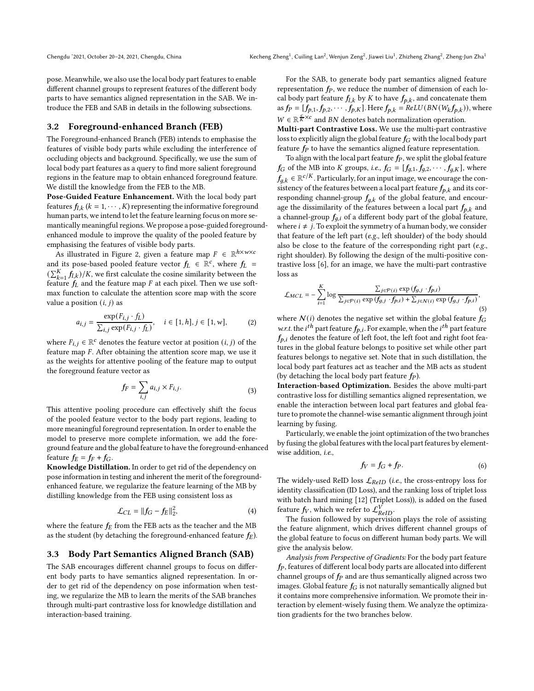pose. Meanwhile, we also use the local body part features to enable different channel groups to represent features of the different body parts to have semantics aligned representation in the SAB. We introduce the FEB and SAB in details in the following subsections.

#### 3.2 Foreground-enhanced Branch (FEB)

The Foreground-enhanced Branch (FEB) intends to emphasise the features of visible body parts while excluding the interference of occluding objects and background. Specifically, we use the sum of local body part features as a query to find more salient foreground regions in the feature map to obtain enhanced foreground feature. We distill the knowledge from the FEB to the MB.

Pose-Guided Feature Enhancement. With the local body part features  $f_{l,k}$  ( $k = 1, \dots, K$ ) representing the informative foreground human parts, we intend to let the feature learning focus on more semantically meaningful regions. We propose a pose-guided foregroundenhanced module to improve the quality of the pooled feature by emphasising the features of visible body parts.

As illustrated in Figure [2,](#page-2-0) given a feature map  $F~\in~\mathbb{R}^{h \times w \times c}$ and its pose-based pooled feature vector  $f_L$   $\in \mathbb{R}^c$ , where  $f_L$  =  $(\sum_{k=1}^{K} f_{l,k})/K$ , we first calculate the cosine similarity between the feature  $f_L$  and the feature map F at each pixel. Then we use softmax function to calculate the attention score map with the score value a position  $(i, j)$  as

$$
a_{i,j} = \frac{\exp(F_{i,j} \cdot f_L)}{\sum_{i,j} \exp(F_{i,j} \cdot f_L)}, \quad i \in [1, h], j \in [1, w],
$$
 (2)

where  $F_{i,j} \in \mathbb{R}^c$  denotes the feature vector at position  $(i, j)$  of the feature map  $F$ . After obtaining the attention score map, we use it as the weights for attentive pooling of the feature map to output the foreground feature vector as

$$
f_F = \sum_{i,j} a_{i,j} \times F_{i,j}.
$$
 (3)

This attentive pooling procedure can effectively shift the focus of the pooled feature vector to the body part regions, leading to more meaningful foreground representation. In order to enable the model to preserve more complete information, we add the foreground feature and the global feature to have the foreground-enhanced feature  $f_E = f_F + f_G$ .

Knowledge Distillation. In order to get rid of the dependency on pose information in testing and inherent the merit of the foregroundenhanced feature, we regularize the feature learning of the MB by distilling knowledge from the FEB using consistent loss as

<span id="page-3-1"></span>
$$
\mathcal{L}_{CL} = \|f_G - f_E\|_2^2, \tag{4}
$$

where the feature  $f_E$  from the FEB acts as the teacher and the MB as the student (by detaching the foreground-enhanced feature  $f_E$ ).

#### <span id="page-3-0"></span>3.3 Body Part Semantics Aligned Branch (SAB)

The SAB encourages different channel groups to focus on different body parts to have semantics aligned representation. In order to get rid of the dependency on pose information when testing, we regularize the MB to learn the merits of the SAB branches through multi-part contrastive loss for knowledge distillation and interaction-based training.

For the SAB, to generate body part semantics aligned feature representation  $f_P$ , we reduce the number of dimension of each local body part feature  $f_{l,k}$  by K to have  $f_{p,k}$ , and concatenate them as  $f_P = [f_{p,1}, f_{p,2}, \cdots, f_{p,K}]$ . Here  $f_{p,k} = ReLU(BN(W_k f_{p,k}))$ , where  $W \in \mathbb{R}^{\frac{c}{K} \times c}$  and BN denotes batch normalization operation. Multi-part Contrastive Loss. We use the multi-part contrastive loss to explicitly align the global feature  $f_G$  with the local body part feature  $f_P$  to have the semantics aligned feature representation.

To align with the local part feature  $f_P$ , we split the global feature  $f_G$  of the MB into *K* groups, *i.e.*,  $f_G = [f_{g,1}, f_{g,2}, \dots, f_{g,K}]$ , where  $f_{g,k} \in \mathbb{R}^{c/K}$  . Particularly, for an input image, we encourage the consistency of the features between a local part feature  $f_{p,k}$  and its corresponding channel-group  $f_{q,k}$  of the global feature, and encourage the dissimilarity of the features between a local part  $f_{p,k}$  and a channel-group  $f_{q,i}$  of a different body part of the global feature, where  $i \neq j$ . To exploit the symmetry of a human body, we consider that feature of the left part (e.g., left shoulder) of the body should also be close to the feature of the corresponding right part (e.g., right shoulder). By following the design of the multi-positive contrastive loss [\[6\]](#page-8-31), for an image, we have the multi-part contrastive loss as

$$
\mathcal{L}_{MCL} = -\sum_{i=1}^{K} \log \frac{\sum_{j \in \mathcal{P}(i)} \exp (f_{g,j} \cdot f_{p,i})}{\sum_{j \in \mathcal{P}(i)} \exp (f_{g,j} \cdot f_{p,i}) + \sum_{j \in N(i)} \exp (f_{g,j} \cdot f_{p,i})},
$$
\n(5)

where  $N(i)$  denotes the negative set within the global feature  $f_G$ w.r.t. the i<sup>th</sup> part feature  $f_{p,i}$ . For example, when the i<sup>th</sup> part feature  $f_{p,i}$  denotes the feature of left foot, the left foot and right foot features in the global feature belongs to positive set while other part features belongs to negative set. Note that in such distillation, the local body part features act as teacher and the MB acts as student (by detaching the local body part feature  $f_P$ ).

Interaction-based Optimization. Besides the above multi-part contrastive loss for distilling semantics aligned representation, we enable the interaction between local part features and global feature to promote the channel-wise semantic alignment through joint learning by fusing.

Particularly, we enable the joint optimization of the two branches by fusing the global features with the local part features by elementwise addition, i.e.,

$$
f_V = f_G + f_P. \tag{6}
$$

The widely-used ReID loss  $\mathcal{L}_{ReID}$  (i.e., the cross-entropy loss for identity classification (ID Loss), and the ranking loss of triplet loss with batch hard mining [\[12\]](#page-8-6) (Triplet Loss)), is added on the fused feature  $f_V$ , which we refer to  $\mathcal{L}_{ReID}^V$ .

The fusion followed by supervision plays the role of assisting the feature alignment, which drives different channel groups of the global feature to focus on different human body parts. We will give the analysis below.

Analysis from Perspective of Gradients: For the body part feature  $fp$ , features of different local body parts are allocated into different channel groups of  $fp$  and are thus semantically aligned across two images. Global feature  $f_G$  is not naturally semantically aligned but it contains more comprehensive information. We promote their interaction by element-wisely fusing them. We analyze the optimization gradients for the two branches below.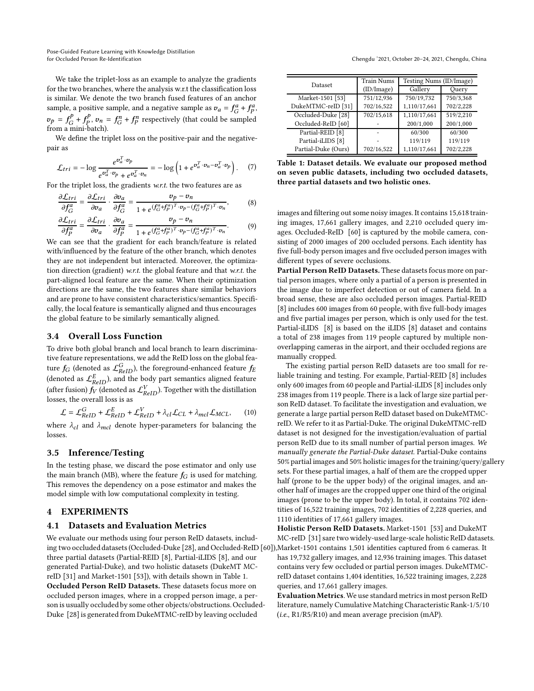We take the triplet-loss as an example to analyze the gradients for the two branches, where the analysis w.r.t the classification loss is similar. We denote the two branch fused features of an anchor sample, a positive sample, and a negative sample as  $v_a = f_G^a + f_P^a$ ,  $v_p = f_G^p$  $f_Q^p + f_P^p$  $\mathcal{L}_P^{P}$ ,  $v_n = f_G^n + f_P^n$  respectively (that could be sampled from a mini-batch).

We define the triplet loss on the positive-pair and the negativepair as

$$
\mathcal{L}_{tri} = -\log \frac{e^{\sigma_a^T \cdot \sigma_p}}{e^{\sigma_a^T \cdot \sigma_p} + e^{\sigma_a^T \cdot \sigma_n}} = -\log \left(1 + e^{\sigma_a^T \cdot \sigma_n - \sigma_a^T \cdot \sigma_p}\right). \tag{7}
$$

For the triplet loss, the gradients w.r.t. the two features are as

$$
\frac{\partial \mathcal{L}_{tri}}{\partial f_G^a} = \frac{\partial \mathcal{L}_{tri}}{\partial v_a} \cdot \frac{\partial v_a}{\partial f_G^a} = \frac{v_p - v_n}{1 + e^{(f_G^a + f_p^a)^T \cdot v_p - (f_G^a + f_p^a)^T \cdot v_n}},\tag{8}
$$

$$
\frac{\partial \mathcal{L}_{tri}}{\partial f_p^a} = \frac{\partial \mathcal{L}_{tri}}{\partial v_a} \cdot \frac{\partial v_a}{\partial f_p^a} = \frac{v_p - v_n}{1 + e^{\left(f_o^a + f_p^a\right)^T \cdot v_p - \left(f_o^a + f_p^a\right)^T \cdot v_n}}.
$$
(9)

We can see that the gradient for each branch/feature is related with/influenced by the feature of the other branch, which denotes they are not independent but interacted. Moreover, the optimization direction (gradient) w.r.t. the global feature and that w.r.t. the part-aligned local feature are the same. When their optimization directions are the same, the two features share similar behaviors and are prone to have consistent characteristics/semantics. Specifically, the local feature is semantically aligned and thus encourages the global feature to be similarly semantically aligned.

## 3.4 Overall Loss Function

To drive both global branch and local branch to learn discriminative feature representations, we add the ReID loss on the global feature  $f_G$  (denoted as  $\mathcal{L}_{ReID}^G$ ), the foreground-enhanced feature  $f_E$ (denoted as  $\mathcal{L}_{ReID}^E$ ), and the body part semantics aligned feature (after fusion)  $f_V$  (denoted as  $\mathcal{L}_{ReID}^{V}$ ). Together with the distillation losses, the overall loss is as

$$
\mathcal{L} = \mathcal{L}_{ReID}^{G} + \mathcal{L}_{ReID}^{E} + \mathcal{L}_{ReID}^{V} + \lambda_{cl} \mathcal{L}_{CL} + \lambda_{mcl} \mathcal{L}_{MCL},
$$
 (10)

where  $\lambda_{cl}$  and  $\lambda_{mcl}$  denote hyper-parameters for balancing the losses.

## 3.5 Inference/Testing

In the testing phase, we discard the pose estimator and only use the main branch (MB), where the feature  $f_G$  is used for matching. This removes the dependency on a pose estimator and makes the model simple with low computational complexity in testing.

### 4 EXPERIMENTS

#### 4.1 Datasets and Evaluation Metrics

We evaluate our methods using four person ReID datasets, including two occluded datasets (Occluded-Duke [\[28\]](#page-8-21), and Occluded-ReID [\[60](#page-9-1)]), three partial datasets (Partial-REID [\[8\]](#page-8-18), Partial-iLIDS [\[8\]](#page-8-18), and our generated Partial-Duke), and two holistic datasets (DukeMT MCreID [\[31\]](#page-8-32) and Market-1501 [\[53\]](#page-8-33)), with details shown in Table [1.](#page-4-0) Occluded Person ReID Datasets. These datasets focus more on occluded person images, where in a cropped person image, a person is usually occluded by some other objects/obstructions. Occluded-Duke [\[28\]](#page-8-21) is generated from DukeMTMC-reID by leaving occluded

<span id="page-4-0"></span>

| Dataset                     | <b>Train Nums</b> | Testing Nums (ID/Image) |           |  |  |
|-----------------------------|-------------------|-------------------------|-----------|--|--|
|                             | (ID/Image)        | Gallery                 | Query     |  |  |
| Market-1501 [53]            | 751/12,936        | 750/19,732              | 750/3,368 |  |  |
| DukeMTMC-reID [31]          | 702/16,522        | 1,110/17,661            | 702/2,228 |  |  |
| Occluded-Duke [28]          | 702/15,618        | 1,110/17,661            | 519/2,210 |  |  |
| Occluded-ReID [60]          |                   | 200/1,000               | 200/1,000 |  |  |
| Partial-REID <sup>[8]</sup> |                   | 60/300                  | 60/300    |  |  |
| Partial-iLIDS [8]           |                   | 119/119                 | 119/119   |  |  |
| Partial-Duke (Ours)         | 702/16,522        | 1,110/17,661            | 702/2,228 |  |  |

Table 1: Dataset details. We evaluate our proposed method on seven public datasets, including two occluded datasets, three partial datasets and two holistic ones.

images and filtering out some noisy images. It contains 15,618 training images, 17,661 gallery images, and 2,210 occluded query images. Occluded-ReID [\[60\]](#page-9-1) is captured by the mobile camera, consisting of 2000 images of 200 occluded persons. Each identity has five full-body person images and five occluded person images with different types of severe occlusions.

Partial Person ReID Datasets. These datasets focus more on partial person images, where only a partial of a person is presented in the image due to imperfect detection or out of camera field. In a broad sense, these are also occluded person images. Partial-REID [\[8](#page-8-18)] includes 600 images from 60 people, with five full-body images and five partial images per person, which is only used for the test. Partial-iLIDS [\[8\]](#page-8-18) is based on the iLIDS [\[8\]](#page-8-18) dataset and contains a total of 238 images from 119 people captured by multiple nonoverlapping cameras in the airport, and their occluded regions are manually cropped.

The existing partial person ReID datasets are too small for reliable training and testing. For example, Partial-REID [\[8](#page-8-18)] includes only 600 images from 60 people and Partial-iLIDS [\[8](#page-8-18)] includes only 238 images from 119 people. There is a lack of large size partial person ReID dataset. To facilitate the investigation and evaluation, we generate a large partial person ReID dataset based on DukeMTMCreID. We refer to it as Partial-Duke. The original DukeMTMC-reID dataset is not designed for the investigation/evaluation of partial person ReID due to its small number of partial person images. We manually generate the Partial-Duke dataset. Partial-Duke contains 50% partial images and 50% holistic images for the training/query/gallery sets. For these partial images, a half of them are the cropped upper half (prone to be the upper body) of the original images, and another half of images are the cropped upper one third of the original images (prone to be the upper body). In total, it contains 702 identities of 16,522 training images, 702 identities of 2,228 queries, and 1110 identities of 17,661 gallery images.

Holistic Person ReID Datasets. Market-1501 [\[53](#page-8-33)] and DukeMT MC-reID [\[31](#page-8-32)] sare two widely-used large-scale holistic ReID datasets. Market-1501 contains 1,501 identities captured from 6 cameras. It has 19,732 gallery images, and 12,936 training images. This dataset contains very few occluded or partial person images. DukeMTMCreID dataset contains 1,404 identities, 16,522 training images, 2,228 queries, and 17,661 gallery images.

Evaluation Metrics. We use standard metrics in most person ReID literature, namely Cumulative Matching Characteristic Rank-1/5/10 (i.e., R1/R5/R10) and mean average precision (mAP).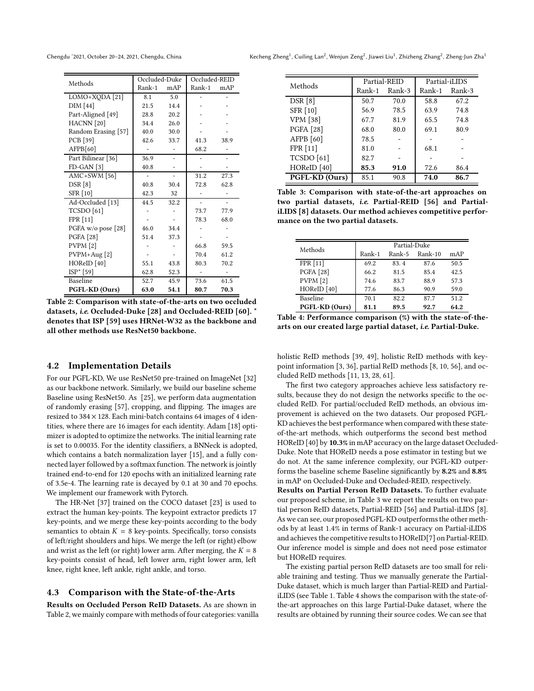<span id="page-5-0"></span>Chengdu '2021, October 20-24, 2021, Chengdu, China

| Kecheng Zheng <sup>1</sup> , Cuiling Lan <sup>2</sup> , Wenjun Zeng <sup>2</sup> , Jiawei Liu <sup>1</sup> , Zhizheng Zhang <sup>2</sup> , Zheng-Jun Zha <sup>1</sup> |  |  |  |
|-----------------------------------------------------------------------------------------------------------------------------------------------------------------------|--|--|--|
|                                                                                                                                                                       |  |  |  |

| Methods                 | Occluded-Duke |      | Occluded-REID |      |
|-------------------------|---------------|------|---------------|------|
|                         | Rank-1        | mAP  | Rank-1        | mAP  |
| LOMO+XQDA [21]          | 8.1           | 5.0  |               |      |
| DIM [44]                | 21.5          | 14.4 |               |      |
| Part-Aligned [49]       | 28.8          | 20.2 |               |      |
| HACNN [20]              | 34.4          | 26.0 |               |      |
| Random Erasing [57]     | 40.0          | 30.0 |               |      |
| PCB [39]                | 42.6          | 33.7 | 41.3          | 38.9 |
| AFPB[60]                |               |      | 68.2          |      |
| Part Bilinear [36]      | 36.9          |      |               |      |
| $FD-GAN [3]$            | 40.8          |      |               |      |
| AMC+SWM [56]            |               |      | 31.2          | 27.3 |
| <b>DSR</b> [8]          | 40.8          | 30.4 | 72.8          | 62.8 |
| <b>SFR</b> [10]         | 42.3          | 32   |               |      |
| Ad-Occluded [13]        | 44.5          | 32.2 |               |      |
| <b>TCSDO</b> [61]       |               |      | 73.7          | 77.9 |
| FPR [11]                |               |      | 78.3          | 68.0 |
| PGFA w/o pose [28]      | 46.0          | 34.4 |               |      |
| <b>PGFA</b> [28]        | 51.4          | 37.3 |               |      |
| PVPM [2]                |               |      | 66.8          | 59.5 |
| $PVPM+Aug [2]$          |               |      | 70.4          | 61.2 |
| HOReID <sup>[40]</sup>  | 55.1          | 43.8 | 80.3          | 70.2 |
| $ISP$ <sup>*</sup> [59] | 62.8          | 52.3 |               |      |
| Baseline                | 52.7          | 45.9 | 73.6          | 61.5 |
| PGFL-KD (Ours)          | 63.0          | 54.1 | 80.7          | 70.3 |

Table 2: Comparison with state-of-the-arts on two occluded datasets, i.e. Occluded-Duke [\[28\]](#page-8-21) and Occluded-REID [\[60\]](#page-9-1). \* denotes that ISP [\[59\]](#page-9-4) uses HRNet-W32 as the backbone and all other methods use ResNet50 backbone.

## 4.2 Implementation Details

For our PGFL-KD, We use ResNet50 pre-trained on ImageNet [\[32\]](#page-8-42) as our backbone network. Similarly, we build our baseline scheme Baseline using ResNet50. As [\[25](#page-8-43)], we perform data augmentation of randomly erasing [\[57\]](#page-8-37), cropping, and flipping. The images are resized to  $384 \times 128$ . Each mini-batch contains 64 images of 4 identities, where there are 16 images for each identity. Adam [\[18\]](#page-8-44) optimizer is adopted to optimize the networks. The initial learning rate is set to 0.00035. For the identity classifiers, a BNNeck is adopted, which contains a batch normalization layer [\[15\]](#page-8-45), and a fully connected layer followed by a softmax function. The network is jointly trained end-to-end for 120 epochs with an initialized learning rate of 3.5e-4. The learning rate is decayed by 0.1 at 30 and 70 epochs. We implement our framework with Pytorch.

The HR-Net [\[37](#page-8-28)] trained on the COCO dataset [\[23](#page-8-46)] is used to extract the human key-points. The keypoint extractor predicts 17 key-points, and we merge these key-points according to the body semantics to obtain  $K = 8$  key-points. Specifically, torso consists of left/right shoulders and hips. We merge the left (or right) elbow and wrist as the left (or right) lower arm. After merging, the  $K = 8$ key-points consist of head, left lower arm, right lower arm, left knee, right knee, left ankle, right ankle, and torso.

#### 4.3 Comparison with the State-of-the-Arts

Results on Occluded Person ReID Datasets. As are shown in Table [2,](#page-5-0) we mainly compare with methods of four categories: vanilla

<span id="page-5-1"></span>

| Methods                |        | Partial-REID | Partial-iLIDS |        |  |
|------------------------|--------|--------------|---------------|--------|--|
|                        | Rank-1 | Rank-3       | Rank-1        | Rank-3 |  |
| <b>DSR</b> [8]         | 50.7   | 70.0         | 58.8          | 67.2   |  |
| SFR [10]               | 56.9   | 78.5         | 63.9          | 74.8   |  |
| <b>VPM</b> [38]        | 67.7   | 81.9         | 65.5          | 74.8   |  |
| <b>PGFA</b> [28]       | 68.0   | 80.0         | 69.1          | 80.9   |  |
| AFPB [60]              | 78.5   |              |               |        |  |
| FPR [11]               | 81.0   |              | 68.1          |        |  |
| <b>TCSDO</b> [61]      | 82.7   |              |               |        |  |
| HOReID <sup>[40]</sup> | 85.3   | 91.0         | 72.6          | 86.4   |  |
| PGFL-KD (Ours)         | 85.1   | 90.8         | 74.0          | 86.7   |  |

Table 3: Comparison with state-of-the-art approaches on two partial datasets, i.e. Partial-REID [\[56](#page-8-25)] and PartialiLIDS [\[8\]](#page-8-18) datasets. Our method achieves competitive performance on the two partial datasets.

<span id="page-5-2"></span>

| Methods                | Partial-Duke |        |         |      |  |  |
|------------------------|--------------|--------|---------|------|--|--|
|                        | Rank-1       | Rank-5 | Rank-10 | mAP  |  |  |
| FPR [11]               | 69.2         | 834    | 87.6    | 50.5 |  |  |
| <b>PGFA</b> [28]       | 66.2         | 815    | 85.4    | 42.5 |  |  |
| <b>PVPM</b> [2]        | 74.6         | 837    | 88.9    | 57.3 |  |  |
| HOReID <sup>[40]</sup> | 77.6         | 86.3   | 90.9    | 59.0 |  |  |
| Baseline               | 70.1         | 82.2   | 87.7    | 51.2 |  |  |
| PGFL-KD (Ours)         | 81.1         | 89.5   | 92.7    | 64.2 |  |  |

Table 4: Performance comparison (%) with the state-of-thearts on our created large partial dataset, i.e. Partial-Duke.

holistic ReID methods [\[39,](#page-8-12) [49](#page-8-35)], holistic ReID methods with keypoint information [\[3,](#page-8-39) [36](#page-8-38)], partial ReID methods [\[8](#page-8-18), [10,](#page-8-40) [56](#page-8-25)], and occluded ReID methods [\[11,](#page-8-19) [13,](#page-8-41) [28](#page-8-21), [61\]](#page-9-2).

The first two category approaches achieve less satisfactory results, because they do not design the networks specific to the occluded ReID. For partial/occluded ReID methods, an obvious improvement is achieved on the two datasets. Our proposed PGFL-KD achieves the best performance when compared with these stateof-the-art methods, which outperforms the second best method HOReID [\[40](#page-8-23)] by 10.3% in mAP accuracy on the large dataset Occluded-Duke. Note that HOReID needs a pose estimator in testing but we do not. At the same inference complexity, our PGFL-KD outperforms the baseline scheme Baseline significantly by 8.2% and 8.8% in mAP on Occluded-Duke and Occluded-REID, respectively. Results on Partial Person ReID Datasets. To further evaluate our proposed scheme, in Table [3](#page-5-1) we report the results on two partial person ReID datasets, Partial-REID [\[56](#page-8-25)] and Partial-iLIDS [\[8\]](#page-8-18). As we can see, our proposed PGFL-KD outperforms the other methods by at least 1.4% in terms of Rank-1 accuracy on Partial-iLIDS and achieves the competitive results to HOReID[\[7](#page-8-47)] on Partial-REID. Our inference model is simple and does not need pose estimator but HOReID requires.

The existing partial person ReID datasets are too small for reliable training and testing. Thus we manually generate the Partial-Duke dataset, which is much larger than Partial-REID and PartialiLIDS (see Table [1.](#page-4-0) Table [4](#page-5-2) shows the comparison with the state-ofthe-art approaches on this large Partial-Duke dataset, where the results are obtained by running their source codes. We can see that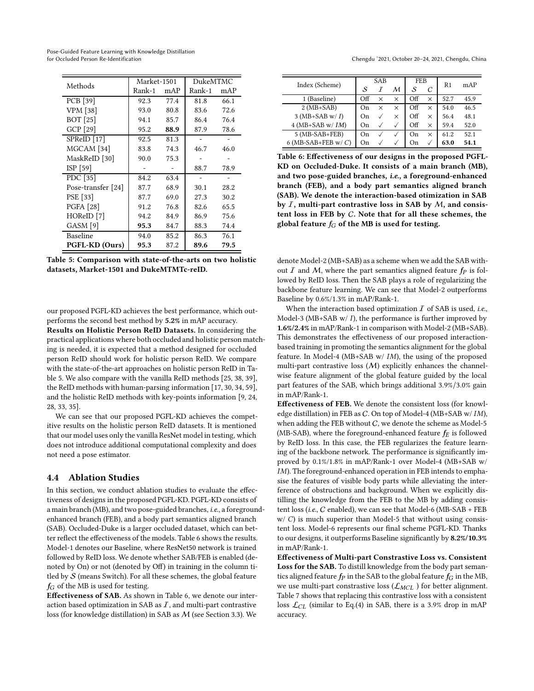<span id="page-6-0"></span>

| Methods               | Market-1501 |      | <b>DukeMTMC</b> |      |  |
|-----------------------|-------------|------|-----------------|------|--|
|                       | Rank-1      | mAP  | Rank-1          | mAP  |  |
| PCB [39]              | 92.3        | 77.4 | 81.8            | 66.1 |  |
| VPM [38]              | 93.0        | 80.8 | 83.6            | 72.6 |  |
| BOT [25]              | 94.1        | 85.7 | 86.4            | 76.4 |  |
| GCP [29]              | 95.2        | 88.9 | 87.9            | 78.6 |  |
| SPReID [17]           | 92.5        | 81.3 |                 |      |  |
| MGCAM <sup>[34]</sup> | 83.8        | 74.3 | 46.7            | 46.0 |  |
| MaskReID [30]         | 90.0        | 75.3 |                 |      |  |
| ISP [59]              |             |      | 88.7            | 78.9 |  |
| PDC [35]              | 84.2        | 63.4 |                 |      |  |
| Pose-transfer [24]    | 87.7        | 68.9 | 30.1            | 28.2 |  |
| PSE [33]              | 87.7        | 69.0 | 27.3            | 30.2 |  |
| <b>PGFA</b> [28]      | 91.2        | 76.8 | 82.6            | 65.5 |  |
| HOReID [7]            | 94.2        | 84.9 | 86.9            | 75.6 |  |
| GASM <sup>[9]</sup>   | 95.3        | 84.7 | 88.3            | 74.4 |  |
| Baseline              | 94.0        | 85.2 | 86.3            | 76.1 |  |
| PGFL-KD (Ours)        | 95.3        | 87.2 | 89.6            | 79.5 |  |

Table 5: Comparison with state-of-the-arts on two holistic datasets, Market-1501 and DukeMTMTc-reID.

our proposed PGFL-KD achieves the best performance, which outperforms the second best method by 5.2% in mAP accuracy. Results on Holistic Person ReID Datasets. In considering the practical applications where both occluded and holistic person matching is needed, it is expected that a method designed for occluded person ReID should work for holistic person ReID. We compare with the state-of-the-art approaches on holistic person ReID in Table [5.](#page-6-0) We also compare with the vanilla ReID methods [\[25,](#page-8-43) [38](#page-8-22), [39\]](#page-8-12), the ReID methods with human-parsing information [\[17,](#page-8-49) [30,](#page-8-51) [34,](#page-8-50) [59\]](#page-9-4), and the holistic ReID methods with key-points information [\[9,](#page-8-55) [24](#page-8-53), [28](#page-8-21), [33,](#page-8-54) [35](#page-8-52)].

We can see that our proposed PGFL-KD achieves the competitive results on the holistic person ReID datasets. It is mentioned that our model uses only the vanilla ResNet model in testing, which does not introduce additional computational complexity and does not need a pose estimator.

## 4.4 Ablation Studies

In this section, we conduct ablation studies to evaluate the effectiveness of designs in the proposed PGFL-KD. PGFL-KD consists of a main branch (MB), and two pose-guided branches, i.e., a foregroundenhanced branch (FEB), and a body part semantics aligned branch (SAB). Occluded-Duke is a larger occluded dataset, which can better reflect the effectiveness of the models. Table [6](#page-6-1) shows the results. Model-1 denotes our Baseline, where ResNet50 network is trained followed by ReID loss. We denote whether SAB/FEB is enabled (denoted by On) or not (denoted by Off) in training in the column titled by  $\mathcal S$  (means Switch). For all these schemes, the global feature  $f_G$  of the MB is used for testing.

Effectiveness of SAB. As shown in Table [6,](#page-6-1) we denote our interaction based optimization in SAB as  $I$ , and multi-part contrastive loss (for knowledge distillation) in SAB as M (see Section [3.3\)](#page-3-0). We

<span id="page-6-1"></span>

|                      |     | SAB |              | <b>FEB</b>  |          |                |      |
|----------------------|-----|-----|--------------|-------------|----------|----------------|------|
| Index (Scheme)       | S   |     | м            |             |          | R <sub>1</sub> | mAP  |
| 1 (Baseline)         | Off | ×   | $\times$     | Off         | $\times$ | 52.7           | 45.9 |
| $2(MB+SAB)$          | On  | ×   | $\times$     | Off         | $\times$ | 54.0           | 46.5 |
| $3$ (MB+SAB w/I)     | On  | ✓   | ×            | Off         | ×        | 56.4           | 48.1 |
| $4$ (MB+SAB w/ IM)   | On. |     |              | Off         | $\times$ | 59.4           | 52.0 |
| $5$ (MB-SAB+FEB)     | On  | ◡   | $\checkmark$ | On          | $\times$ | 61.2           | 52.1 |
| $6$ (MB-SAB+FEB w/C) | On) |     |              | $_{\rm On}$ |          | 63.0           | 54.1 |

Table 6: Effectiveness of our designs in the proposed PGFL-KD on Occluded-Duke. It consists of a main branch (MB), and two pose-guided branches, i.e., a foreground-enhanced branch (FEB), and a body part semantics aligned branch (SAB). We denote the interaction-based otimization in SAB by  $I$ , multi-part contrastive loss in SAB by  $M$ , and consistent loss in FEB by C. Note that for all these schemes, the global feature  $f_G$  of the MB is used for testing.

denote Model-2 (MB+SAB) as a scheme when we add the SAB without  $I$  and  $M$ , where the part semantics aligned feature  $f_P$  is followed by ReID loss. Then the SAB plays a role of regularizing the backbone feature learning. We can see that Model-2 outperforms Baseline by 0.6%/1.3% in mAP/Rank-1.

When the interaction based optimization  $I$  of SAB is used, *i.e.*, Model-3 (MB+SAB  $w/ I$ ), the performance is further improved by 1.6%/2.4% in mAP/Rank-1 in comparison with Model-2 (MB+SAB). This demonstrates the effectiveness of our proposed interactionbased training in promoting the semantics alignment for the global feature. In Model-4 (MB+SAB w/  $IM$ ), the using of the proposed multi-part contrastive loss  $(M)$  explicitly enhances the channelwise feature alignment of the global feature guided by the local part features of the SAB, which brings additional 3.9%/3.0% gain in mAP/Rank-1.

Effectiveness of FEB. We denote the consistent loss (for knowledge distillation) in FEB as  $C$ . On top of Model-4 (MB+SAB w/IM), when adding the FEB without  $C$ , we denote the scheme as Model-5 (MB-SAB), where the foreground-enhanced feature  $f_E$  is followed by ReID loss. In this case, the FEB regularizes the feature learning of the backbone network. The performance is significantly improved by 0.1%/1.8% in mAP/Rank-1 over Model-4 (MB+SAB w/ IM). The foreground-enhanced operation in FEB intends to emphasise the features of visible body parts while alleviating the interference of obstructions and background. When we explicitly distilling the knowledge from the FEB to the MB by adding consistent loss (i.e., C enabled), we can see that Model-6 (MB-SAB + FEB  $w / C$ ) is much superior than Model-5 that without using consistent loss. Model-6 represents our final scheme PGFL-KD. Thanks to our designs, it outperforms Baseline significantly by 8.2%/10.3% in mAP/Rank-1.

Effectiveness of Multi-part Constrastive Loss vs. Consistent Loss for the SAB. To distill knowledge from the body part semantics aligned feature  $fp$  in the SAB to the global feature  $f_G$  in the MB, we use multi-part constrastive loss  $(\mathcal{L}_{MCL})$  for better alignment. Table [7](#page-7-0) shows that replacing this contrastive loss with a consistent loss  $\mathcal{L}_{CL}$  (similar to Eq.[\(4\)](#page-3-1) in SAB, there is a 3.9% drop in mAP accuracy.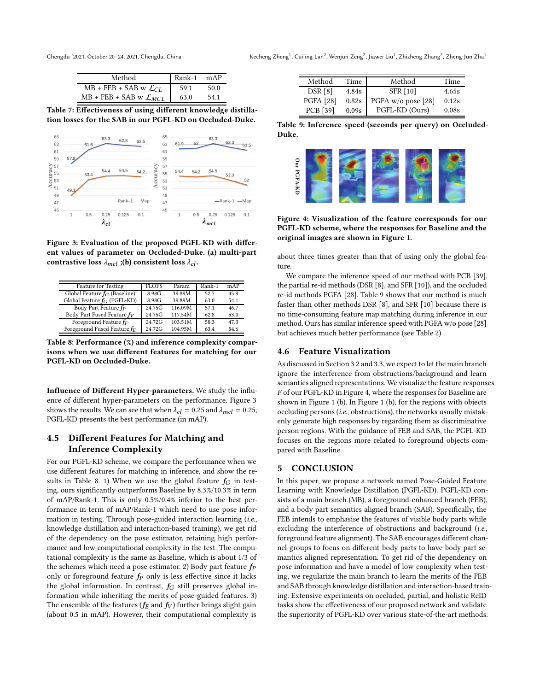<span id="page-7-0"></span>Chengdu '2021, October 20-24, 2021, Chengdu, China

, Cuiling Lan $^2$ , Wenjun Zeng $^2$ , Jiawei Liu $^1$ , Zhizheng Zhang $^2$ , Zheng-Jun Zha $^1$ 

| Method                                 | Rank-1 | mAP |  |
|----------------------------------------|--------|-----|--|
| $MB$ + FEB + SAB w $\mathcal{L}_{CL}$  |        |     |  |
| $MB$ + FEB + SAB w $\mathcal{L}_{MCL}$ | 63.0   |     |  |

Table 7: Effectiveness of using different knowledge distillation losses for the SAB in our PGFL-KD on Occluded-Duke.

<span id="page-7-1"></span>

Figure 3: Evaluation of the proposed PGFL-KD with different values of parameter on Occluded-Duke. (a) multi-part contrastive loss  $\lambda_{mcl}$ ;(b) consistent loss  $\lambda_{cl}$ .

<span id="page-7-2"></span>

| <b>Feature for Testing</b>      | <b>FLOPS</b> | Param   | Rank-1 | mAP  |
|---------------------------------|--------------|---------|--------|------|
| Global Feature $f_G$ (Baseline) | 8.98G        | 39.89M  | 52.7   | 459  |
| Global Feature $f_G$ (PGFL-KD)  | 8.98G        | 39.89M  | 63.0   | 54.1 |
| Body Part Feature fp            | 24.75G       | 116.09M | 571    | 46.7 |
| Body Part Fused Feature $f_V$   | 24.75G       | 117.54M | 62.8   | 53.0 |
| Foreground Feature $f_F$        | 24.72G       | 103.51M | 58.3   | 47.3 |
| Foreground Fused Feature $f_E$  | 24.72G       | 104.95M | 63.4   | 54.6 |
|                                 |              |         |        |      |

Table 8: Performance (%) and inference complexity comparisons when we use different features for matching for our PGFL-KD on Occluded-Duke.

Influence of Different Hyper-parameters. We study the influence of different hyper-parameters on the performance. Figure [3](#page-7-1) shows the results. We can see that when  $\lambda_{cl} = 0.25$  and  $\lambda_{mcl} = 0.25$ , PGFL-KD presents the best performance (in mAP).

# 4.5 Different Features for Matching and Inference Complexity

For our PGFL-KD scheme, we compare the performance when we use different features for matching in inference, and show the re-sults in Table [8.](#page-7-2) 1) When we use the global feature  $f_G$  in testing, ours significantly outperforms Baseline by 8.3%/10.3% in term of mAP/Rank-1. This is only 0.5%/0.4% inferior to the best performance in term of mAP/Rank-1 which need to use pose information in testing. Through pose-guided interaction learning (i.e., knowledge distillation and interaction-based training), we get rid of the dependency on the pose estimator, retaining high performance and low computational complexity in the test. The computational complexity is the same as Baseline, which is about 1/3 of the schemes which need a pose estimator. 2) Body part feature  $f_P$ only or foreground feature  $f_P$  only is less effective since it lacks the global information. In contrast,  $f_G$  still preserves global information while inheriting the merits of pose-guided features. 3) The ensemble of the features ( $f_E$  and  $f_V$ ) further brings slight gain (about 0.5 in mAP). However, their computational complexity is

<span id="page-7-3"></span>

| Method           | Time  | Method             | Time  |
|------------------|-------|--------------------|-------|
| DSR [8]          | 4.84s | <b>SFR [10]</b>    | 4.65s |
| <b>PGFA</b> [28] | 0.82s | PGFA w/o pose [28] | 0.12s |
| <b>PCB</b> [39]  | 0.09s | PGFL-KD (Ours)     | 0.08s |

| Table 9: Inference speed (seconds per query) on Occluded- |  |  |  |
|-----------------------------------------------------------|--|--|--|
| Duke.                                                     |  |  |  |

<span id="page-7-4"></span>

Figure 4: Visualization of the feature corresponds for our PGFL-KD scheme, where the responses for Baseline and the original images are shown in Figure [1.](#page-0-0)

about three times greater than that of using only the global feature.

We compare the inference speed of our method with PCB [\[39](#page-8-12)], the partial re-id methods (DSR [\[8](#page-8-18)], and SFR [\[10](#page-8-40)]), and the occluded re-id methods PGFA [\[28](#page-8-21)]. Table [9](#page-7-3) shows that our method is much faster than other methods DSR [\[8\]](#page-8-18), and SFR [\[10\]](#page-8-40) because there is no time-consuming feature map matching during inference in our method. Ours has similar inference speed with PGFA w/o pose [\[28](#page-8-21)] but achieves much better performance (see Table [2\)](#page-5-0)

## 4.6 Feature Visualization

As discussed in Section 3.2 and 3.3, we expect to let the main branch ignore the interference from obstructions/background and learn semantics aligned representations. We visualize the feature responses F of our PGFL-KD in Figure [4,](#page-7-4) where the responses for Baseline are shown in Figure [1](#page-0-0) (b). In Figure [1](#page-0-0) (b), for the regions with objects occluding persons (i.e., obstructions), the networks usually mistakenly generate high responses by regarding them as discriminative person regions. With the guidance of FEB and SAB, the PGFL-KD focuses on the regions more related to foreground objects compared with Baseline.

# 5 CONCLUSION

In this paper, we propose a network named Pose-Guided Feature Learning with Knowledge Distillation (PGFL-KD). PGFL-KD consists of a main branch (MB), a foreground-enhanced branch (FEB), and a body part semantics aligned branch (SAB). Specifically, the FEB intends to emphasise the features of visible body parts while excluding the interference of obstructions and background (i.e., foreground feature alignment). The SAB encourages different channel groups to focus on different body parts to have body part semantics aligned representation. To get rid of the dependency on pose information and have a model of low complexity when testing, we regularize the main branch to learn the merits of the FEB and SAB through knowledge distillation and interaction-based training. Extensive experiments on occluded, partial, and holistic ReID tasks show the effectiveness of our proposed network and validate the superiority of PGFL-KD over various state-of-the-art methods.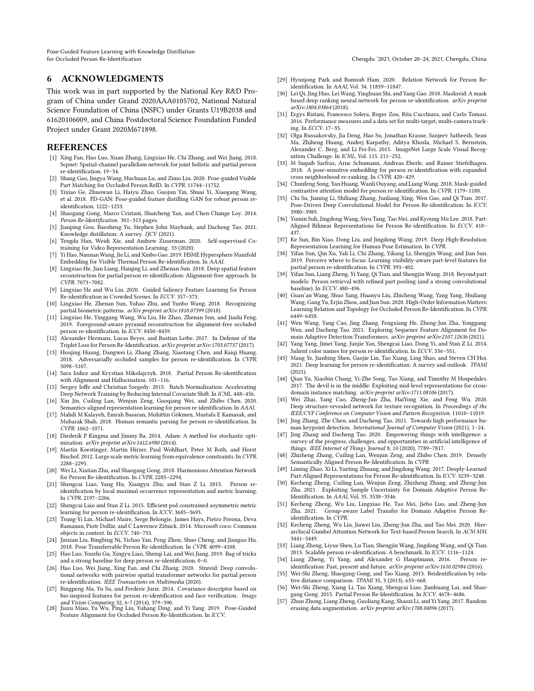### 6 ACKNOWLEDGMENTS

This work was in part supported by the National Key R&D Program of China under Grand 2020AAA0105702, National Natural Science Foundation of China (NSFC) under Grants U19B2038 and 61620106009, and China Postdoctoral Science Foundation Funded Project under Grant 2020M671898.

#### REFERENCES

- <span id="page-8-27"></span>[1] Xing Fan, Hao Luo, Xuan Zhang, Lingxiao He, Chi Zhang, and Wei Jiang. 2018. Scpnet: Spatial-channel parallelism network for joint holistic and partial person re-identification. 19–34.
- <span id="page-8-17"></span>[2] Shang Gao, Jingya Wang, Huchuan Lu, and Zimo Liu. 2020. Pose-guided Visible Part Matching for Occluded Person ReID. In CVPR. 11744–11752.
- <span id="page-8-39"></span>[3] Yixiao Ge, Zhuowan Li, Haiyu Zhao, Guojun Yin, Shuai Yi, Xiaogang Wang, et al. 2018. FD-GAN: Pose-guided feature distilling GAN for robust person reidentification. 1222–1233.
- <span id="page-8-0"></span>[4] Shaogang Gong, Marco Cristani, Shuicheng Yan, and Chen Change Loy. 2014. Person Re-Identification. 301–313 pages.
- <span id="page-8-30"></span>[5] Jianping Gou, Baosheng Yu, Stephen John Maybank, and Dacheng Tao. 2021. Knowledge distillation: A survey. IJCV (2021).
- <span id="page-8-31"></span>[6] Tengda Han, Weidi Xie, and Andrew Zisserman. 2020. Self-supervised Cotraining for Video Representation Learning. 33 (2020).
- <span id="page-8-47"></span>[7] Yi Hao, NannanWang, Jie Li, and Xinbo Gao. 2019. HSME Hypersphere Manifold Embedding for Visible Thermal Person Re-identification. In AAAI.
- <span id="page-8-18"></span>[8] Lingxiao He, Jian Liang, Haiqing Li, and Zhenan Sun. 2018. Deep spatial feature reconstruction for partial person re-identification: Alignment-free approach. In CVPR. 7073–7082.
- <span id="page-8-55"></span>[9] Lingxiao He and Wu Liu. 2020. Guided Saliency Feature Learning for Person Re-identification in Crowded Scenes. In ECCV. 357–373.
- <span id="page-8-40"></span>[10] Lingxiao He, Zhenan Sun, Yuhao Zhu, and Yunbo Wang. 2018. Recognizing partial biometric patterns. arXiv preprint arXiv:1810.07399 (2018).
- <span id="page-8-19"></span>[11] Lingxiao He, Yinggang Wang, Wu Liu, He Zhao, Zhenan Sun, and Jiashi Feng. 2019. Foreground-aware pyramid reconstruction for alignment-free occluded person re-identification. In ICCV. 8450–8459.
- <span id="page-8-6"></span>[12] Alexander Hermans, Lucas Beyer, and Bastian Leibe. 2017. In Defense of the Triplet Loss for Person Re-Identification. arXiv preprint arXiv:1703.07737 (2017).
- <span id="page-8-41"></span>[13] Houjing Huang, Dangwei Li, Zhang Zhang, Xiaotang Chen, and Kaiqi Huang. 2018. Adversarially occluded samples for person re-identification. In CVPR. 5098–5107.
- <span id="page-8-26"></span>[14] Sara Iodice and Krystian Mikolajczyk. 2018. Partial Person Re-identification with Alignment and Hallucination. 101–116.
- <span id="page-8-45"></span>[15] Sergey Ioffe and Christian Szegedy. 2015. Batch Normalization: Accelerating Deep Network Training by Reducing Internal Covariate Shift. In ICML. 448–456. [16] Xin Jin, Cuiling Lan, Wenjun Zeng, Guoqiang Wei, and Zhibo Chen. 2020.
- <span id="page-8-7"></span>Semantics-aligned representation learning for person re-identification. In AAAI.
- <span id="page-8-49"></span>[17] Mahdi M Kalayeh, Emrah Basaran, Muhittin Gökmen, Mustafa E Kamasak, and Mubarak Shah. 2018. Human semantic parsing for person re-identification. In CVPR. 1062–1071.
- <span id="page-8-44"></span>[18] Diederik P Kingma and Jimmy Ba. 2014. Adam: A method for stochastic optimization. arXiv preprint arXiv:1412.6980 (2014).
- <span id="page-8-8"></span>[19] Martin Koestinger, Martin Hirzer, Paul Wohlhart, Peter M Roth, and Horst Bischof. 2012. Large scale metric learning from equivalence constraints. In CVPR. 2288–2295.
- <span id="page-8-36"></span>[20] Wei Li, Xiatian Zhu, and Shaogang Gong. 2018. Harmonious Attention Network for Person Re-identification. In CVPR. 2285–2294.
- <span id="page-8-9"></span>[21] Shengcai Liao, Yang Hu, Xiangyu Zhu, and Stan Z Li. 2015. Person reidentification by local maximal occurrence representation and metric learning. In CVPR. 2197–2206.
- <span id="page-8-10"></span>[22] Shengcai Liao and Stan Z Li. 2015. Efficient psd constrained asymmetric metric learning for person re-identification. In ICCV. 3685–3693.
- <span id="page-8-46"></span>[23] Tsung-Yi Lin, Michael Maire, Serge Belongie, James Hays, Pietro Perona, Deva Ramanan, Piotr Dollár, and C Lawrence Zitnick. 2014. Microsoft coco: Common objects in context. In ECCV. 740–755.
- <span id="page-8-53"></span>[24] Jinxian Liu, Bingbing Ni, Yichao Yan, Peng Zhou, Shuo Cheng, and Jianguo Hu. 2018. Pose Transferrable Person Re-identification. In CVPR. 4099–4108.
- <span id="page-8-43"></span>[25] Hao Luo, Youzhi Gu, Xingyu Liao, Shenqi Lai, and Wei Jiang. 2019. Bag of tricks and a strong baseline for deep person re-identification. 0–0.
- <span id="page-8-20"></span>[26] Hao Luo, Wei Jiang, Xing Fan, and Chi Zhang. 2020. Stnreid: Deep convolutional networks with pairwise spatial transformer networks for partial person re-identification. IEEE Transactions on Multimedia (2020).
- <span id="page-8-11"></span>[27] Bingpeng Ma, Yu Su, and Frederic Jurie. 2014. Covariance descriptor based on bio-inspired features for person re-identification and face verification. Image
- <span id="page-8-21"></span>and Vision Computing 32, 6-7 (2014), 379–390. [28] Jiaxu Miao, Yu Wu, Ping Liu, Yuhang Ding, and Yi Yang. 2019. Pose-Guided Feature Alignment for Occluded Person Re-Identification. In ICCV.
- <span id="page-8-48"></span>[29] Hyunjong Park and Bumsub Ham. 2020. Relation Network for Person Reidentification. In AAAI, Vol. 34. 11839–11847.
- <span id="page-8-51"></span>[30] Lei Qi, Jing Huo, Lei Wang, Yinghuan Shi, and Yang Gao. 2018. Maskreid: A mask based deep ranking neural network for person re-identification. arXiv preprint arXiv:1804.03864 (2018).
- <span id="page-8-32"></span>[31] Ergys Ristani, Francesco Solera, Roger Zou, Rita Cucchiara, and Carlo Tomasi. 2016. Performance measures and a data set for multi-target, multi-camera tracking. In ECCV. 17–35.
- <span id="page-8-42"></span>[32] Olga Russakovsky, Jia Deng, Hao Su, Jonathan Krause, Sanjeev Satheesh, Sean Ma, Zhiheng Huang, Andrej Karpathy, Aditya Khosla, Michael S. Bernstein, Alexander C. Berg, and Li Fei-Fei. 2015. ImageNet Large Scale Visual Recognition Challenge. In ICML, Vol. 115. 211–252.
- <span id="page-8-54"></span>[33] M Saquib Sarfraz, Arne Schumann, Andreas Eberle, and Rainer Stiefelhagen. 2018. A pose-sensitive embedding for person re-identification with expanded cross neighborhood re-ranking. In CVPR. 420–429.
- <span id="page-8-50"></span>[34] Chunfeng Song, Yan Huang, Wanli Ouyang, and Liang Wang. 2018. Mask-guided contrastive attention model for person re-identification. In CVPR. 1179–1188.
- <span id="page-8-52"></span>[35] Chi Su, Jianing Li, Shiliang Zhang, Junliang Xing, Wen Gao, and Qi Tian. 2017. Pose-Driven Deep Convolutional Model for Person Re-identification. In ICCV. 3980–3989.
- <span id="page-8-38"></span>[36] Yumin Suh, Jingdong Wang, Siyu Tang, Tao Mei, and Kyoung Mu Lee. 2018. Part-Aligned Bilinear Representations for Person Re-identification. In ECCV. 418– 437.
- <span id="page-8-28"></span>[37] Ke Sun, Bin Xiao, Dong Liu, and Jingdong Wang. 2019. Deep High-Resolution Representation Learning for Human Pose Estimation. In CVPR.
- <span id="page-8-22"></span>[38] Yifan Sun, Qin Xu, Yali Li, Chi Zhang, Yikang Li, Shengjin Wang, and Jian Sun. 2019. Perceive where to focus: Learning visibility-aware part-level features for partial person re-identification. In CVPR. 393–402.
- <span id="page-8-12"></span>[39] Yifan Sun, Liang Zheng, Yi Yang, Qi Tian, and Shengjin Wang. 2018. Beyond part models: Person retrieval with refined part pooling (and a strong convolutional baseline). In ECCV. 480–496.
- <span id="page-8-23"></span>[40] Guan'an Wang, Shuo Yang, Huanyu Liu, Zhicheng Wang, Yang Yang, Shuliang Wang, Gang Yu, Erjin Zhou, and Jian Sun. 2020. High-Order Information Matters: Learning Relation and Topology for Occluded Person Re-Identification. In CVPR. 6449–6458.
- <span id="page-8-13"></span>[41] Wen Wang, Yang Cao, Jing Zhang, Fengxiang He, Zheng-Jun Zha, Yonggang Wen, and Dacheng Tao. 2021. Exploring Sequence Feature Alignment for Domain Adaptive Detection Transformers. arXiv preprint arXiv:2107.12636 (2021).
- [42] Yang Yang, Jimei Yang, Junjie Yan, Shengcai Liao, Dong Yi, and Stan Z Li. 2014. Salient color names for person re-identification. In ECCV. 536-551.
- <span id="page-8-14"></span>[43] Mang Ye, Jianbing Shen, Gaojie Lin, Tao Xiang, Ling Shao, and Steven CH Hoi. 2021. Deep learning for person re-identification: A survey and outlook. TPAMI (2021).
- <span id="page-8-34"></span>[44] Qian Yu, Xiaobin Chang, Yi-Zhe Song, Tao Xiang, and Timothy M Hospedales. 2017. The devil is in the middle: Exploiting mid-level representations for crossdomain instance matching. arXiv preprint arXiv:1711.08106 (2017).
- <span id="page-8-24"></span>[45] Wei Zhai, Yang Cao, Zheng-Jun Zha, HaiYong Xie, and Feng Wu. 2020. Deep structure-revealed network for texture recognition. In Proceedings of the IEEE/CVF Conference on Computer Vision and Pattern Recognition. 11010–11019.
- <span id="page-8-29"></span>[46] Jing Zhang, Zhe Chen, and Dacheng Tao. 2021. Towards high performance human keypoint detection. International Journal of Computer Vision (2021), 1–24.
- <span id="page-8-1"></span>[47] Jing Zhang and Dacheng Tao. 2020. Empowering things with intelligence: a survey of the progress, challenges, and opportunities in artificial intelligence of things. IEEE Internet of Things Journal 8, 10 (2020), 7789–7817.
- <span id="page-8-2"></span>[48] Zhizheng Zhang, Cuiling Lan, Wenjun Zeng, and Zhibo Chen. 2019. Densely Semantically Aligned Person Re-Identification. In CVPR.
- <span id="page-8-35"></span>[49] Liming Zhao, Xi Li, Yueting Zhuang, and Jingdong Wang. 2017. Deeply-Learned Part-Aligned Representations for Person Re-identification. In ICCV. 3239–3248.
- <span id="page-8-3"></span>[50] Kecheng Zheng, Cuiling Lan, Wenjun Zeng, Zhizheng Zhang, and Zheng-Jun Zha. 2021. Exploiting Sample Uncertainty for Domain Adaptive Person Re-Identification. In AAAI, Vol. 35. 3538–3546.
- <span id="page-8-4"></span>[51] Kecheng Zheng, Wu Liu, Lingxiao He, Tao Mei, Jiebo Luo, and Zheng-Jun Zha. 2021. Group-aware Label Transfer for Domain Adaptive Person Reidentification. In CVPR.
- <span id="page-8-15"></span>[52] Kecheng Zheng, Wu Liu, Jiawei Liu, Zheng-Jun Zha, and Tao Mei. 2020. Hierarchical Gumbel Attention Network for Text-based Person Search. In ACM MM. 3441–3449.
- <span id="page-8-33"></span>[53] Liang Zheng, Liyue Shen, Lu Tian, Shengjin Wang, Jingdong Wang, and Qi Tian. 2015. Scalable person re-identification: A benchmark. In ICCV. 1116–1124.
- <span id="page-8-5"></span>[54] Liang Zheng, Yi Yang, and Alexander G Hauptmann. 2016. Person reidentification: Past, present and future. arXiv preprint arXiv:1610.02984 (2016). [55] Wei-Shi Zheng, Shaogang Gong, and Tao Xiang. 2013. Reidentification by rela-
- <span id="page-8-16"></span>tive distance comparison. TPAMI 35, 3 (2013), 653–668. [56] Wei-Shi Zheng, Xiang Li, Tao Xiang, Shengcai Liao, Jianhuang Lai, and Shao-
- <span id="page-8-25"></span>gang Gong. 2015. Partial Person Re-Identification. In ICCV. 4678–4686.
- <span id="page-8-37"></span>[57] Zhun Zhong, Liang Zheng, Guoliang Kang, Shaozi Li, and Yi Yang. 2017. Random erasing data augmentation. arXiv preprint arXiv:1708.04896 (2017).